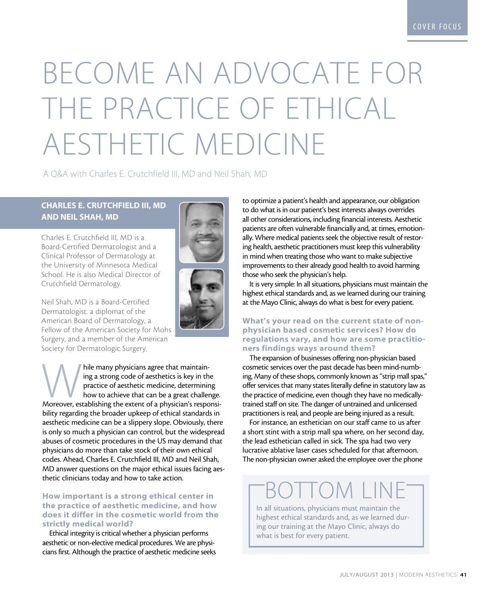# Become an Advocate for the practice of Ethical Aesthetic Medicine

A Q&A with Charles E. Crutchfield III, MD and Neil Shah, MD

### Charles E. Crutchfield III, MD and Neil Shah, MD

Charles E. Crutchfield III, MD is a Board-Certified Dermatologist and a Clinical Professor of Dermatology at the University of Minnesota Medical School. He is also Medical Director of Crutchfield Dermatology.

Neil Shah, MD is a Board-Certified Dermatologist. a diplomat of the American Board of Dermatology, a Fellow of the American Society for Mohs Surgery, and a member of the American Society for Dermatologic Surgery.

hile many physicians agree that maintain-<br>ing a strong code of aesthetics is key in the<br>practice of aesthetic medicine, determining<br>how to achieve that can be a great challenge.<br>Moreover, establishing the extent of a physi ing a strong code of aesthetics is key in the practice of aesthetic medicine, determining how to achieve that can be a great challenge. bility regarding the broader upkeep of ethical standards in aesthetic medicine can be a slippery slope. Obviously, there is only so much a physician can control, but the widespread abuses of cosmetic procedures in the US may demand that physicians do more than take stock of their own ethical codes. Ahead, Charles E. Crutchfield III, MD and Neil Shah, MD answer questions on the major ethical issues facing aesthetic clinicians today and how to take action.

### How important is a strong ethical center in the practice of aesthetic medicine, and how does it differ in the cosmetic world from the strictly medical world?

Ethical integrity is critical whether a physician performs aesthetic or non-elective medical procedures. We are physicians first. Although the practice of aesthetic medicine seeks to optimize a patient's health and appearance, our obligation to do what is in our patient's best interests always overrides all other considerations, including financial interests. Aesthetic patients are often vulnerable financially and, at times, emotionally. Where medical patients seek the objective result of restoring health, aesthetic practitioners must keep this vulnerability in mind when treating those who want to make subjective improvements to their already good health to avoid harming those who seek the physician's help.

It is very simple: In all situations, physicians must maintain the highest ethical standards and, as we learned during our training at the Mayo Clinic, always do what is best for every patient.

### What's your read on the current state of nonphysician based cosmetic services? How do regulations vary, and how are some practitioners findings ways around them?

The expansion of businesses offering non-physician based cosmetic services over the past decade has been mind-numbing. Many of these shops, commonly known as "strip mall spas," offer services that many states literally define in statutory law as the practice of medicine, even though they have no medicallytrained staff on site. The danger of untrained and unlicensed practitioners is real, and people are being injured as a result.

For instance, an esthetician on our staff came to us after a short stint with a strip mall spa where, on her second day, the lead esthetician called in sick. The spa had two very lucrative ablative laser cases scheduled for that afternoon. The non-physician owner asked the employee over the phone

## Bottom LIne

In all situations, physicians must maintain the highest ethical standards and, as we learned during our training at the Mayo Clinic, always do what is best for every patient.

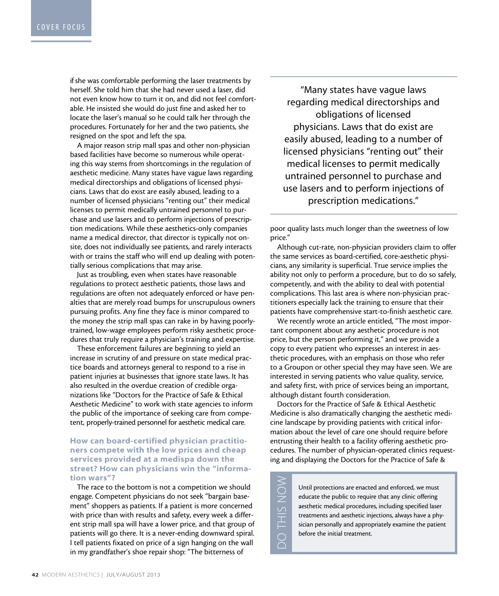if she was comfortable performing the laser treatments by herself. She told him that she had never used a laser, did not even know how to turn it on, and did not feel comfortable. He insisted she would do just fine and asked her to locate the laser's manual so he could talk her through the procedures. Fortunately for her and the two patients, she resigned on the spot and left the spa.

A major reason strip mall spas and other non-physician based facilities have become so numerous while operating this way stems from shortcomings in the regulation of aesthetic medicine. Many states have vague laws regarding medical directorships and obligations of licensed physicians. Laws that do exist are easily abused, leading to a number of licensed physicians "renting out" their medical licenses to permit medically untrained personnel to purchase and use lasers and to perform injections of prescription medications. While these aesthetics-only companies name a medical director, that director is typically not onsite, does not individually see patients, and rarely interacts with or trains the staff who will end up dealing with potentially serious complications that may arise.

Just as troubling, even when states have reasonable regulations to protect aesthetic patients, those laws and regulations are often not adequately enforced or have penalties that are merely road bumps for unscrupulous owners pursuing profits. Any fine they face is minor compared to the money the strip mall spas can rake in by having poorlytrained, low-wage employees perform risky aesthetic procedures that truly require a physician's training and expertise.

These enforcement failures are beginning to yield an increase in scrutiny of and pressure on state medical practice boards and attorneys general to respond to a rise in patient injuries at businesses that ignore state laws. It has also resulted in the overdue creation of credible organizations like "Doctors for the Practice of Safe & Ethical Aesthetic Medicine" to work with state agencies to inform the public of the importance of seeking care from competent, properly-trained personnel for aesthetic medical care.

### How can board-certified physician practitioners compete with the low prices and cheap services provided at a medispa down the street? How can physicians win the "information wars"?

The race to the bottom is not a competition we should engage. Competent physicians do not seek "bargain basement" shoppers as patients. If a patient is more concerned with price than with results and safety, every week a different strip mall spa will have a lower price, and that group of patients will go there. It is a never-ending downward spiral. I tell patients fixated on price of a sign hanging on the wall in my grandfather's shoe repair shop: "The bitterness of

"Many states have vague laws regarding medical directorships and obligations of licensed physicians. Laws that do exist are easily abused, leading to a number of licensed physicians "renting out" their medical licenses to permit medically untrained personnel to purchase and use lasers and to perform injections of prescription medications."

poor quality lasts much longer than the sweetness of low price."

Although cut-rate, non-physician providers claim to offer the same services as board-certified, core-aesthetic physicians, any similarity is superficial. True service implies the ability not only to perform a procedure, but to do so safely, competently, and with the ability to deal with potential complications. This last area is where non-physician practitioners especially lack the training to ensure that their patients have comprehensive start-to-finish aesthetic care.

We recently wrote an article entitled, "The most important component about any aesthetic procedure is not price, but the person performing it," and we provide a copy to every patient who expresses an interest in aesthetic procedures, with an emphasis on those who refer to a Groupon or other special they may have seen. We are interested in serving patients who value quality, service, and safety first, with price of services being an important, although distant fourth consideration.

Doctors for the Practice of Safe & Ethical Aesthetic Medicine is also dramatically changing the aesthetic medicine landscape by providing patients with critical information about the level of care one should require before entrusting their health to a facility offering aesthetic procedures. The number of physician-operated clinics requesting and displaying the Doctors for the Practice of Safe &

> Until protections are enacted and enforced, we must educate the public to require that any clinic offering aesthetic medical procedures, including specified laser treatments and aesthetic injections, always have a physician personally and appropriately examine the patient before the initial treatment.

do this no DO THIS NOW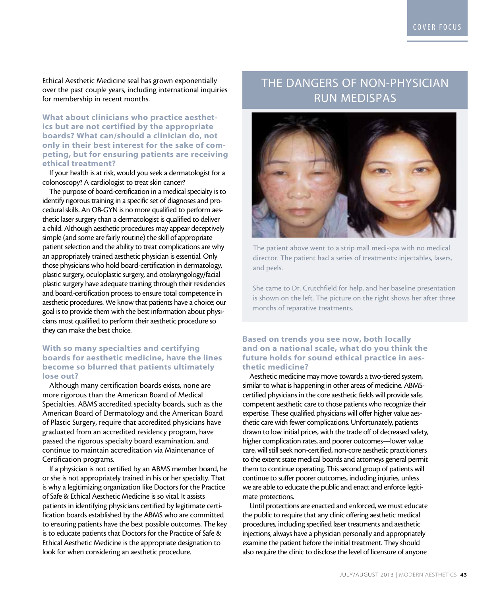Ethical Aesthetic Medicine seal has grown exponentially over the past couple years, including international inquiries for membership in recent months.

What about clinicians who practice aesthetics but are not certified by the appropriate boards? What can/should a clinician do, not only in their best interest for the sake of competing, but for ensuring patients are receiving ethical treatment?

If your health is at risk, would you seek a dermatologist for a colonoscopy? A cardiologist to treat skin cancer?

The purpose of board-certification in a medical specialty is to identify rigorous training in a specific set of diagnoses and procedural skills. An OB-GYN is no more qualified to perform aesthetic laser surgery than a dermatologist is qualified to deliver a child. Although aesthetic procedures may appear deceptively simple (and some are fairly routine) the skill of appropriate patient selection and the ability to treat complications are why an appropriately trained aesthetic physician is essential. Only those physicians who hold board-certification in dermatology, plastic surgery, oculoplastic surgery, and otolaryngology/facial plastic surgery have adequate training through their residencies and board-certification process to ensure total competence in aesthetic procedures. We know that patients have a choice; our goal is to provide them with the best information about physicians most qualified to perform their aesthetic procedure so they can make the best choice.

### With so many specialties and certifying boards for aesthetic medicine, have the lines become so blurred that patients ultimately lose out?

Although many certification boards exists, none are more rigorous than the American Board of Medical Specialties. ABMS accredited specialty boards, such as the American Board of Dermatology and the American Board of Plastic Surgery, require that accredited physicians have graduated from an accredited residency program, have passed the rigorous specialty board examination, and continue to maintain accreditation via Maintenance of Certification programs.

If a physician is not certified by an ABMS member board, he or she is not appropriately trained in his or her specialty. That is why a legitimizing organization like Doctors for the Practice of Safe & Ethical Aesthetic Medicine is so vital. It assists patients in identifying physicians certified by legitimate certification boards established by the ABMS who are committed to ensuring patients have the best possible outcomes. The key is to educate patients that Doctors for the Practice of Safe & Ethical Aesthetic Medicine is the appropriate designation to look for when considering an aesthetic procedure.

### The Dangers of Non-Physician Run Medispas



The patient above went to a strip mall medi-spa with no medical director. The patient had a series of treatments: injectables, lasers, and peels.

She came to Dr. Crutchfield for help, and her baseline presentation is shown on the left. The picture on the right shows her after three months of reparative treatments.

### Based on trends you see now, both locally and on a national scale, what do you think the future holds for sound ethical practice in aesthetic medicine?

Aesthetic medicine may move towards a two-tiered system, similar to what is happening in other areas of medicine. ABMScertified physicians in the core aesthetic fields will provide safe, competent aesthetic care to those patients who recognize their expertise. These qualified physicians will offer higher value aesthetic care with fewer complications. Unfortunately, patients drawn to low initial prices, with the trade off of decreased safety, higher complication rates, and poorer outcomes—lower value care, will still seek non-certified, non-core aesthetic practitioners to the extent state medical boards and attorneys general permit them to continue operating. This second group of patients will continue to suffer poorer outcomes, including injuries, unless we are able to educate the public and enact and enforce legitimate protections.

Until protections are enacted and enforced, we must educate the public to require that any clinic offering aesthetic medical procedures, including specified laser treatments and aesthetic injections, always have a physician personally and appropriately examine the patient before the initial treatment. They should also require the clinic to disclose the level of licensure of anyone